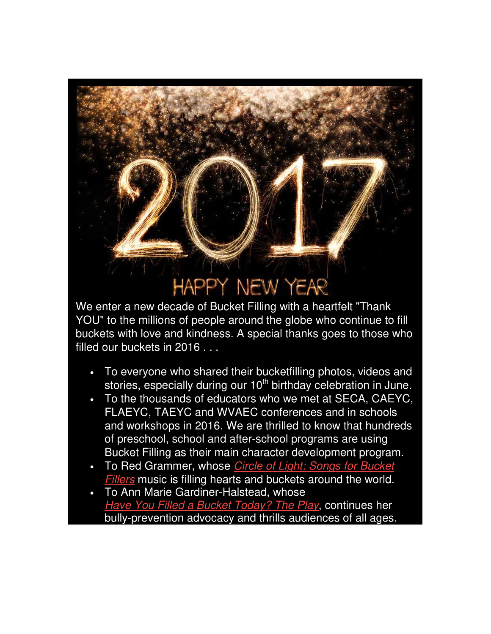## **HAPPY NEW YEAR**

We enter a new decade of Bucket Filling with a heartfelt "Thank YOU" to the millions of people around the globe who continue to fill buckets with love and kindness. A special thanks goes to those who filled our buckets in 2016 . . .

- To everyone who shared their bucketfilling photos, videos and stories, especially during our 10<sup>th</sup> birthday celebration in June.
- To the thousands of educators who we met at SECA, CAEYC, FLAEYC, TAEYC and WVAEC conferences and in schools and workshops in 2016. We are thrilled to know that hundreds of preschool, school and after-school programs are using Bucket Filling as their main character development program.
- To Red Grammer, whose *Circle of Light: Songs for Bucket* Fillers music is filling hearts and buckets around the world.
- To Ann Marie Gardiner-Halstead, whose Have You Filled a Bucket Today? The Play, continues her bully-prevention advocacy and thrills audiences of all ages.